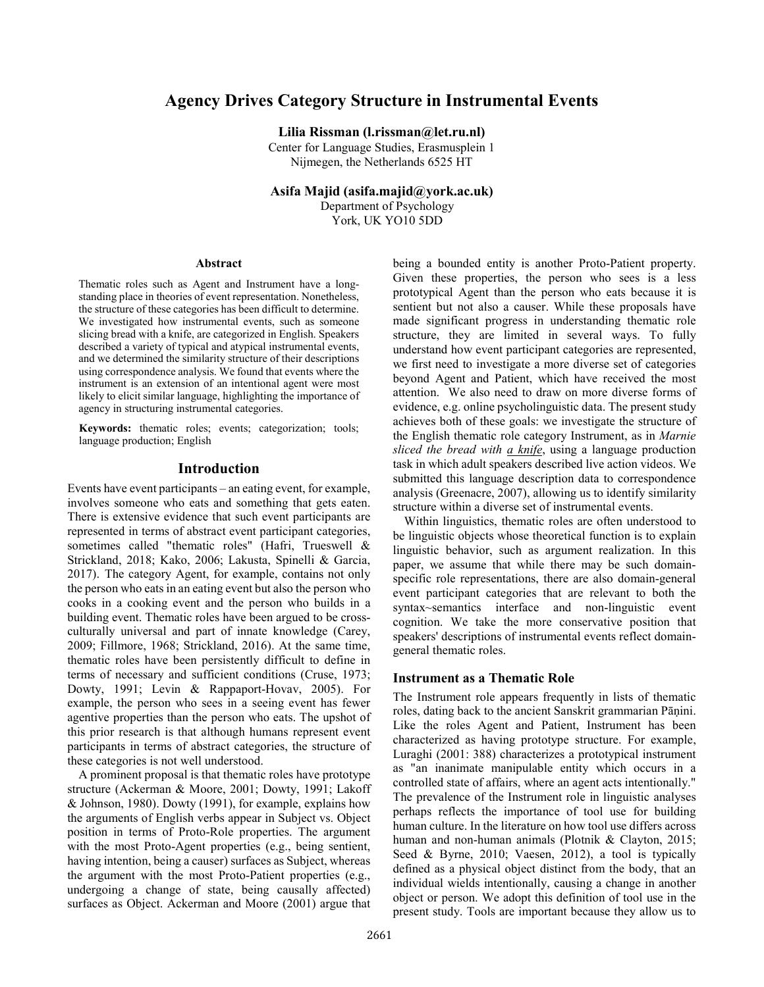# **Agency Drives Category Structure in Instrumental Events**

**Lilia Rissman (l.rissman@let.ru.nl)**

Center for Language Studies, Erasmusplein 1 Nijmegen, the Netherlands 6525 HT

**Asifa Majid (asifa.majid@york.ac.uk)**

Department of Psychology York, UK YO10 5DD

#### **Abstract**

Thematic roles such as Agent and Instrument have a longstanding place in theories of event representation. Nonetheless, the structure of these categories has been difficult to determine. We investigated how instrumental events, such as someone slicing bread with a knife, are categorized in English. Speakers described a variety of typical and atypical instrumental events, and we determined the similarity structure of their descriptions using correspondence analysis. We found that events where the instrument is an extension of an intentional agent were most likely to elicit similar language, highlighting the importance of agency in structuring instrumental categories.

**Keywords:** thematic roles; events; categorization; tools; language production; English

#### **Introduction**

Events have event participants – an eating event, for example, involves someone who eats and something that gets eaten. There is extensive evidence that such event participants are represented in terms of abstract event participant categories, sometimes called "thematic roles" (Hafri, Trueswell & Strickland, 2018; Kako, 2006; Lakusta, Spinelli & Garcia, 2017). The category Agent, for example, contains not only the person who eats in an eating event but also the person who cooks in a cooking event and the person who builds in a building event. Thematic roles have been argued to be crossculturally universal and part of innate knowledge (Carey, 2009; Fillmore, 1968; Strickland, 2016). At the same time, thematic roles have been persistently difficult to define in terms of necessary and sufficient conditions (Cruse, 1973; Dowty, 1991; Levin & Rappaport-Hovav, 2005). For example, the person who sees in a seeing event has fewer agentive properties than the person who eats. The upshot of this prior research is that although humans represent event participants in terms of abstract categories, the structure of these categories is not well understood.

A prominent proposal is that thematic roles have prototype structure (Ackerman & Moore, 2001; Dowty, 1991; Lakoff & Johnson, 1980). Dowty (1991), for example, explains how the arguments of English verbs appear in Subject vs. Object position in terms of Proto-Role properties. The argument with the most Proto-Agent properties (e.g., being sentient, having intention, being a causer) surfaces as Subject, whereas the argument with the most Proto-Patient properties (e.g., undergoing a change of state, being causally affected) surfaces as Object. Ackerman and Moore (2001) argue that

being a bounded entity is another Proto-Patient property. Given these properties, the person who sees is a less prototypical Agent than the person who eats because it is sentient but not also a causer. While these proposals have made significant progress in understanding thematic role structure, they are limited in several ways. To fully understand how event participant categories are represented, we first need to investigate a more diverse set of categories beyond Agent and Patient, which have received the most attention. We also need to draw on more diverse forms of evidence, e.g. online psycholinguistic data. The present study achieves both of these goals: we investigate the structure of the English thematic role category Instrument, as in *Marnie sliced the bread with a knife*, using a language production task in which adult speakers described live action videos. We submitted this language description data to correspondence analysis (Greenacre, 2007), allowing us to identify similarity structure within a diverse set of instrumental events.

Within linguistics, thematic roles are often understood to be linguistic objects whose theoretical function is to explain linguistic behavior, such as argument realization. In this paper, we assume that while there may be such domainspecific role representations, there are also domain-general event participant categories that are relevant to both the syntax~semantics interface and non-linguistic event cognition. We take the more conservative position that speakers' descriptions of instrumental events reflect domaingeneral thematic roles.

## **Instrument as a Thematic Role**

The Instrument role appears frequently in lists of thematic roles, dating back to the ancient Sanskrit grammarian Pāṇini. Like the roles Agent and Patient, Instrument has been characterized as having prototype structure. For example, Luraghi (2001: 388) characterizes a prototypical instrument as "an inanimate manipulable entity which occurs in a controlled state of affairs, where an agent acts intentionally." The prevalence of the Instrument role in linguistic analyses perhaps reflects the importance of tool use for building human culture. In the literature on how tool use differs across human and non-human animals (Plotnik & Clayton, 2015; Seed & Byrne, 2010; Vaesen, 2012), a tool is typically defined as a physical object distinct from the body, that an individual wields intentionally, causing a change in another object or person. We adopt this definition of tool use in the present study. Tools are important because they allow us to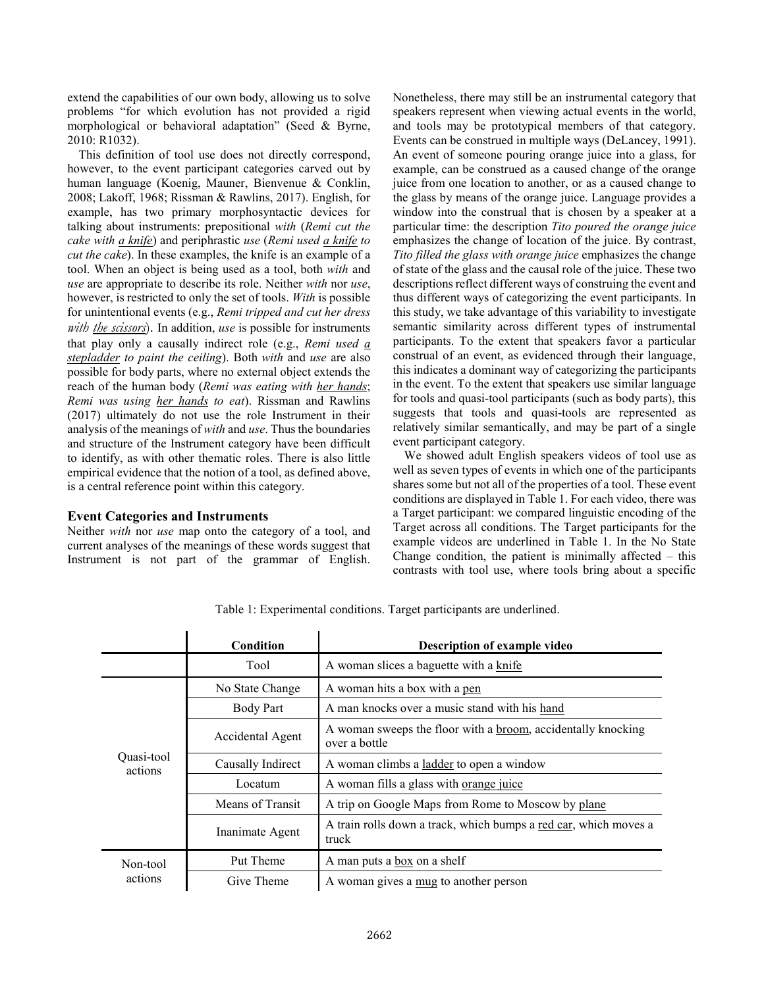extend the capabilities of our own body, allowing us to solve problems "for which evolution has not provided a rigid morphological or behavioral adaptation" (Seed & Byrne, 2010: R1032).

This definition of tool use does not directly correspond, however, to the event participant categories carved out by human language (Koenig, Mauner, Bienvenue & Conklin, 2008; Lakoff, 1968; Rissman & Rawlins, 2017). English, for example, has two primary morphosyntactic devices for talking about instruments: prepositional *with* (*Remi cut the cake with a knife*) and periphrastic *use* (*Remi used a knife to cut the cake*). In these examples, the knife is an example of a tool. When an object is being used as a tool, both *with* and *use* are appropriate to describe its role. Neither *with* nor *use*, however, is restricted to only the set of tools. *With* is possible for unintentional events (e.g., *Remi tripped and cut her dress with the scissors*). In addition, *use* is possible for instruments that play only a causally indirect role (e.g., *Remi used a stepladder to paint the ceiling*). Both *with* and *use* are also possible for body parts, where no external object extends the reach of the human body (*Remi was eating with her hands*; *Remi was using her hands to eat*). Rissman and Rawlins (2017) ultimately do not use the role Instrument in their analysis of the meanings of *with* and *use*. Thus the boundaries and structure of the Instrument category have been difficult to identify, as with other thematic roles. There is also little empirical evidence that the notion of a tool, as defined above, is a central reference point within this category.

# **Event Categories and Instruments**

Neither *with* nor *use* map onto the category of a tool, and current analyses of the meanings of these words suggest that Instrument is not part of the grammar of English. Nonetheless, there may still be an instrumental category that speakers represent when viewing actual events in the world, and tools may be prototypical members of that category. Events can be construed in multiple ways (DeLancey, 1991). An event of someone pouring orange juice into a glass, for example, can be construed as a caused change of the orange juice from one location to another, or as a caused change to the glass by means of the orange juice. Language provides a window into the construal that is chosen by a speaker at a particular time: the description *Tito poured the orange juice* emphasizes the change of location of the juice. By contrast, *Tito filled the glass with orange juice* emphasizes the change of state of the glass and the causal role of the juice. These two descriptions reflect different ways of construing the event and thus different ways of categorizing the event participants. In this study, we take advantage of this variability to investigate semantic similarity across different types of instrumental participants. To the extent that speakers favor a particular construal of an event, as evidenced through their language, this indicates a dominant way of categorizing the participants in the event. To the extent that speakers use similar language for tools and quasi-tool participants (such as body parts), this suggests that tools and quasi-tools are represented as relatively similar semantically, and may be part of a single event participant category.

We showed adult English speakers videos of tool use as well as seven types of events in which one of the participants shares some but not all of the properties of a tool. These event conditions are displayed in Table 1. For each video, there was a Target participant: we compared linguistic encoding of the Target across all conditions. The Target participants for the example videos are underlined in Table 1. In the No State Change condition, the patient is minimally affected  $-$  this contrasts with tool use, where tools bring about a specific

|                       | Condition         | Description of example video                                                          |
|-----------------------|-------------------|---------------------------------------------------------------------------------------|
|                       | Tool              | A woman slices a baguette with a knife                                                |
| Quasi-tool<br>actions | No State Change   | A woman hits a box with a pen                                                         |
|                       | <b>Body Part</b>  | A man knocks over a music stand with his hand                                         |
|                       | Accidental Agent  | A woman sweeps the floor with a <u>broom</u> , accidentally knocking<br>over a bottle |
|                       | Causally Indirect | A woman climbs a ladder to open a window                                              |
|                       | Locatum           | A woman fills a glass with orange juice                                               |
|                       | Means of Transit  | A trip on Google Maps from Rome to Moscow by plane                                    |
|                       | Inanimate Agent   | A train rolls down a track, which bumps a red car, which moves a<br>truck             |
| Non-tool<br>actions   | Put Theme         | A man puts a box on a shelf                                                           |
|                       | Give Theme        | A woman gives a mug to another person                                                 |

Table 1: Experimental conditions. Target participants are underlined.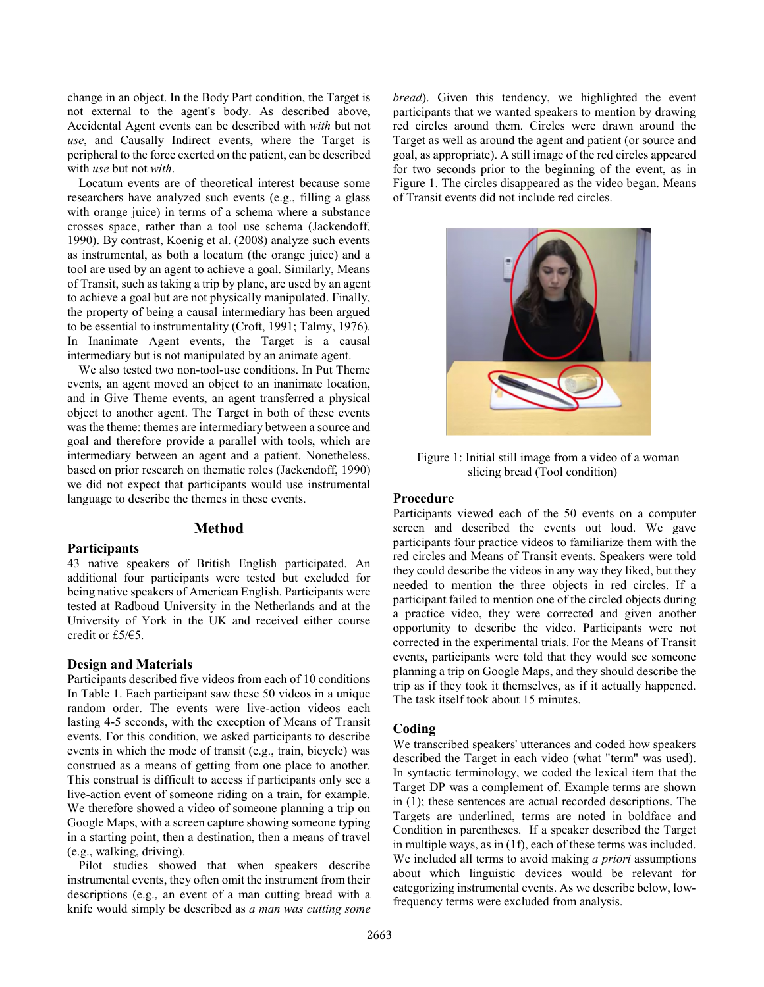change in an object. In the Body Part condition, the Target is not external to the agent's body. As described above, Accidental Agent events can be described with *with* but not *use*, and Causally Indirect events, where the Target is peripheral to the force exerted on the patient, can be described with *use* but not *with*.

Locatum events are of theoretical interest because some researchers have analyzed such events (e.g., filling a glass with orange juice) in terms of a schema where a substance crosses space, rather than a tool use schema (Jackendoff, 1990). By contrast, Koenig et al. (2008) analyze such events as instrumental, as both a locatum (the orange juice) and a tool are used by an agent to achieve a goal. Similarly, Means of Transit, such as taking a trip by plane, are used by an agent to achieve a goal but are not physically manipulated. Finally, the property of being a causal intermediary has been argued to be essential to instrumentality (Croft, 1991; Talmy, 1976). In Inanimate Agent events, the Target is a causal intermediary but is not manipulated by an animate agent.

We also tested two non-tool-use conditions. In Put Theme events, an agent moved an object to an inanimate location, and in Give Theme events, an agent transferred a physical object to another agent. The Target in both of these events was the theme: themes are intermediary between a source and goal and therefore provide a parallel with tools, which are intermediary between an agent and a patient. Nonetheless, based on prior research on thematic roles (Jackendoff, 1990) we did not expect that participants would use instrumental language to describe the themes in these events.

# **Method**

#### **Participants**

43 native speakers of British English participated. An additional four participants were tested but excluded for being native speakers of American English. Participants were tested at Radboud University in the Netherlands and at the University of York in the UK and received either course credit or £5/€5.

# **Design and Materials**

Participants described five videos from each of 10 conditions In Table 1. Each participant saw these 50 videos in a unique random order. The events were live-action videos each lasting 4-5 seconds, with the exception of Means of Transit events. For this condition, we asked participants to describe events in which the mode of transit (e.g., train, bicycle) was construed as a means of getting from one place to another. This construal is difficult to access if participants only see a live-action event of someone riding on a train, for example. We therefore showed a video of someone planning a trip on Google Maps, with a screen capture showing someone typing in a starting point, then a destination, then a means of travel (e.g., walking, driving).

Pilot studies showed that when speakers describe instrumental events, they often omit the instrument from their descriptions (e.g., an event of a man cutting bread with a knife would simply be described as *a man was cutting some* 

*bread*). Given this tendency, we highlighted the event participants that we wanted speakers to mention by drawing red circles around them. Circles were drawn around the Target as well as around the agent and patient (or source and goal, as appropriate). A still image of the red circles appeared for two seconds prior to the beginning of the event, as in Figure 1. The circles disappeared as the video began. Means of Transit events did not include red circles.



Figure 1: Initial still image from a video of a woman slicing bread (Tool condition)

#### **Procedure**

Participants viewed each of the 50 events on a computer screen and described the events out loud. We gave participants four practice videos to familiarize them with the red circles and Means of Transit events. Speakers were told they could describe the videos in any way they liked, but they needed to mention the three objects in red circles. If a participant failed to mention one of the circled objects during a practice video, they were corrected and given another opportunity to describe the video. Participants were not corrected in the experimental trials. For the Means of Transit events, participants were told that they would see someone planning a trip on Google Maps, and they should describe the trip as if they took it themselves, as if it actually happened. The task itself took about 15 minutes.

#### **Coding**

We transcribed speakers' utterances and coded how speakers described the Target in each video (what "term" was used). In syntactic terminology, we coded the lexical item that the Target DP was a complement of. Example terms are shown in (1); these sentences are actual recorded descriptions. The Targets are underlined, terms are noted in boldface and Condition in parentheses. If a speaker described the Target in multiple ways, as in (1f), each of these terms was included. We included all terms to avoid making *a priori* assumptions about which linguistic devices would be relevant for categorizing instrumental events. As we describe below, lowfrequency terms were excluded from analysis.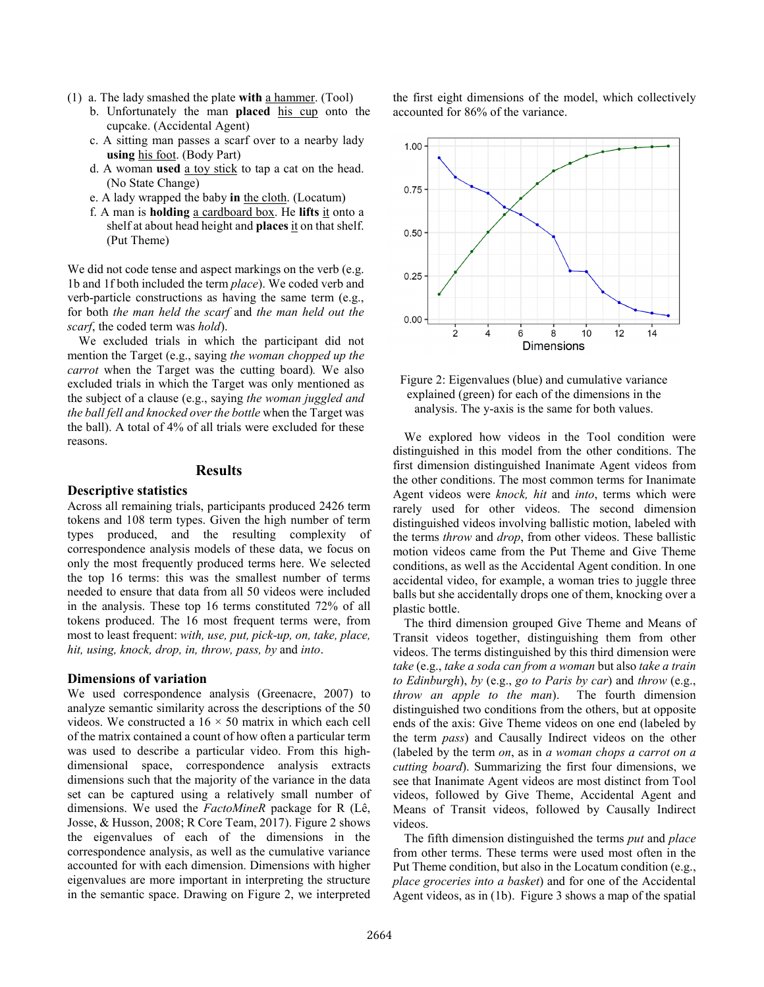- (1) a. The lady smashed the plate **with** a hammer. (Tool)
	- b. Unfortunately the man **placed** his cup onto the cupcake. (Accidental Agent)
	- c. A sitting man passes a scarf over to a nearby lady **using** his foot. (Body Part)
	- d. A woman **used** a toy stick to tap a cat on the head. (No State Change)
	- e. A lady wrapped the baby **in** the cloth. (Locatum)
	- f. A man is **holding** a cardboard box. He **lifts** it onto a shelf at about head height and **places** it on that shelf. (Put Theme)

We did not code tense and aspect markings on the verb (e.g. 1b and 1f both included the term *place*). We coded verb and verb-particle constructions as having the same term (e.g., for both *the man held the scarf* and *the man held out the scarf*, the coded term was *hold*).

We excluded trials in which the participant did not mention the Target (e.g., saying *the woman chopped up the carrot* when the Target was the cutting board)*.* We also excluded trials in which the Target was only mentioned as the subject of a clause (e.g., saying *the woman juggled and the ball fell and knocked over the bottle* when the Target was the ball). A total of 4% of all trials were excluded for these reasons.

#### **Results**

#### **Descriptive statistics**

Across all remaining trials, participants produced 2426 term tokens and 108 term types. Given the high number of term types produced, and the resulting complexity of correspondence analysis models of these data, we focus on only the most frequently produced terms here. We selected the top 16 terms: this was the smallest number of terms needed to ensure that data from all 50 videos were included in the analysis. These top 16 terms constituted 72% of all tokens produced. The 16 most frequent terms were, from most to least frequent: *with, use, put, pick-up, on, take, place, hit, using, knock, drop, in, throw, pass, by* and *into*.

#### **Dimensions of variation**

We used correspondence analysis (Greenacre, 2007) to analyze semantic similarity across the descriptions of the 50 videos. We constructed a  $16 \times 50$  matrix in which each cell of the matrix contained a count of how often a particular term was used to describe a particular video. From this highdimensional space, correspondence analysis extracts dimensions such that the majority of the variance in the data set can be captured using a relatively small number of dimensions. We used the *FactoMineR* package for R (Lê, Josse, & Husson, 2008; R Core Team, 2017). Figure 2 shows the eigenvalues of each of the dimensions in the correspondence analysis, as well as the cumulative variance accounted for with each dimension. Dimensions with higher eigenvalues are more important in interpreting the structure in the semantic space. Drawing on Figure 2, we interpreted

the first eight dimensions of the model, which collectively accounted for 86% of the variance.





We explored how videos in the Tool condition were distinguished in this model from the other conditions. The first dimension distinguished Inanimate Agent videos from the other conditions. The most common terms for Inanimate Agent videos were *knock, hit* and *into*, terms which were rarely used for other videos. The second dimension distinguished videos involving ballistic motion, labeled with the terms *throw* and *drop*, from other videos. These ballistic motion videos came from the Put Theme and Give Theme conditions, as well as the Accidental Agent condition. In one accidental video, for example, a woman tries to juggle three balls but she accidentally drops one of them, knocking over a plastic bottle.

The third dimension grouped Give Theme and Means of Transit videos together, distinguishing them from other videos. The terms distinguished by this third dimension were *take* (e.g., *take a soda can from a woman* but also *take a train to Edinburgh*), *by* (e.g., *go to Paris by car*) and *throw* (e.g., *throw an apple to the man*). The fourth dimension distinguished two conditions from the others, but at opposite ends of the axis: Give Theme videos on one end (labeled by the term *pass*) and Causally Indirect videos on the other (labeled by the term *on*, as in *a woman chops a carrot on a cutting board*). Summarizing the first four dimensions, we see that Inanimate Agent videos are most distinct from Tool videos, followed by Give Theme, Accidental Agent and Means of Transit videos, followed by Causally Indirect videos.

The fifth dimension distinguished the terms *put* and *place* from other terms. These terms were used most often in the Put Theme condition, but also in the Locatum condition (e.g., *place groceries into a basket*) and for one of the Accidental Agent videos, as in (1b). Figure 3 shows a map of the spatial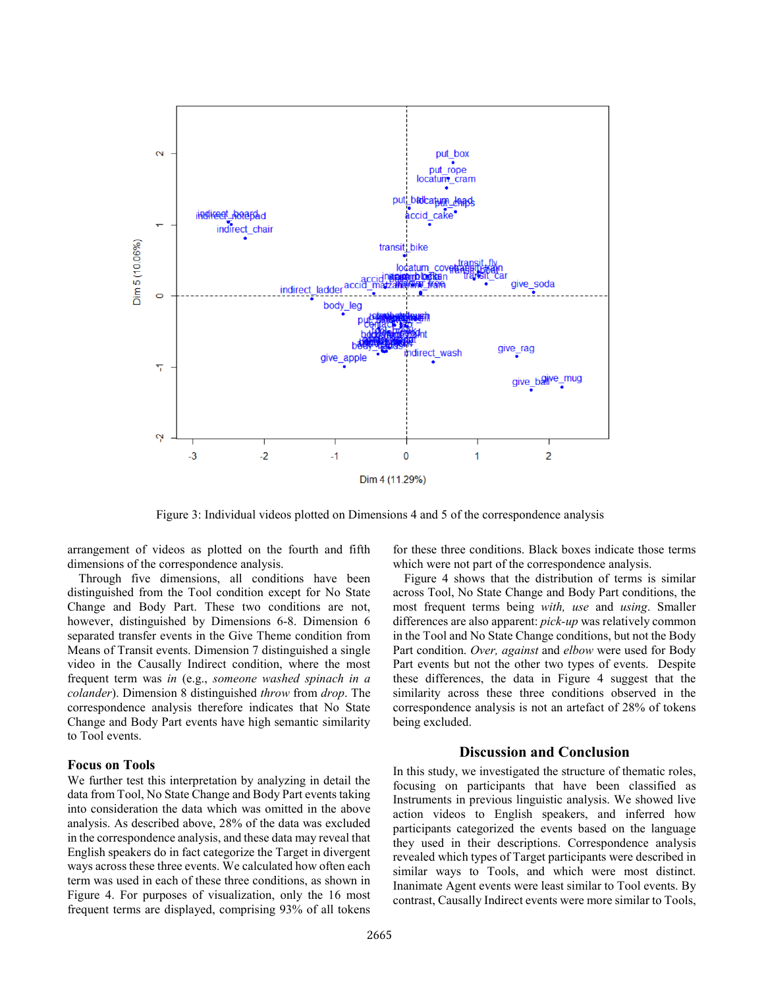

Figure 3: Individual videos plotted on Dimensions 4 and 5 of the correspondence analysis

arrangement of videos as plotted on the fourth and fifth dimensions of the correspondence analysis.

Through five dimensions, all conditions have been distinguished from the Tool condition except for No State Change and Body Part. These two conditions are not, however, distinguished by Dimensions 6-8. Dimension 6 separated transfer events in the Give Theme condition from Means of Transit events. Dimension 7 distinguished a single video in the Causally Indirect condition, where the most frequent term was *in* (e.g., *someone washed spinach in a colander*). Dimension 8 distinguished *throw* from *drop*. The correspondence analysis therefore indicates that No State Change and Body Part events have high semantic similarity to Tool events.

#### **Focus on Tools**

We further test this interpretation by analyzing in detail the data from Tool, No State Change and Body Part events taking into consideration the data which was omitted in the above analysis. As described above, 28% of the data was excluded in the correspondence analysis, and these data may reveal that English speakers do in fact categorize the Target in divergent ways across these three events. We calculated how often each term was used in each of these three conditions, as shown in Figure 4. For purposes of visualization, only the 16 most frequent terms are displayed, comprising 93% of all tokens for these three conditions. Black boxes indicate those terms which were not part of the correspondence analysis.

Figure 4 shows that the distribution of terms is similar across Tool, No State Change and Body Part conditions, the most frequent terms being *with, use* and *using*. Smaller differences are also apparent: *pick-up* was relatively common in the Tool and No State Change conditions, but not the Body Part condition. *Over, against* and *elbow* were used for Body Part events but not the other two types of events. Despite these differences, the data in Figure 4 suggest that the similarity across these three conditions observed in the correspondence analysis is not an artefact of 28% of tokens being excluded.

#### **Discussion and Conclusion**

In this study, we investigated the structure of thematic roles, focusing on participants that have been classified as Instruments in previous linguistic analysis. We showed live action videos to English speakers, and inferred how participants categorized the events based on the language they used in their descriptions. Correspondence analysis revealed which types of Target participants were described in similar ways to Tools, and which were most distinct. Inanimate Agent events were least similar to Tool events. By contrast, Causally Indirect events were more similar to Tools,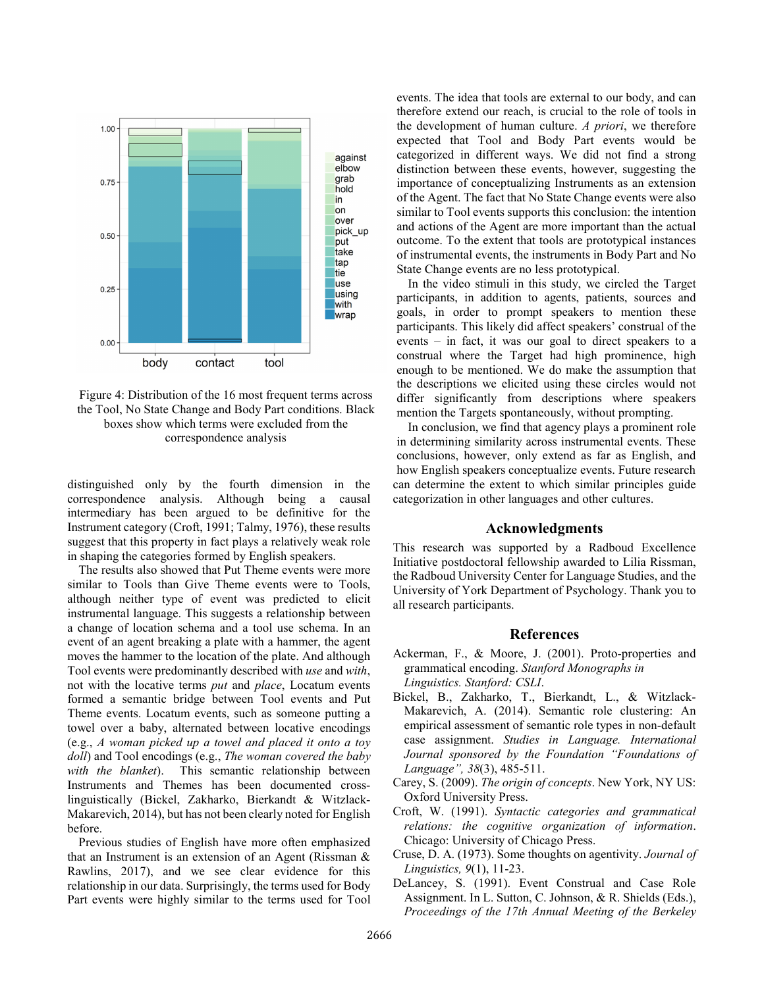

Figure 4: Distribution of the 16 most frequent terms across the Tool, No State Change and Body Part conditions. Black boxes show which terms were excluded from the correspondence analysis

distinguished only by the fourth dimension in the correspondence analysis. Although being a causal intermediary has been argued to be definitive for the Instrument category (Croft, 1991; Talmy, 1976), these results suggest that this property in fact plays a relatively weak role in shaping the categories formed by English speakers.

The results also showed that Put Theme events were more similar to Tools than Give Theme events were to Tools, although neither type of event was predicted to elicit instrumental language. This suggests a relationship between a change of location schema and a tool use schema. In an event of an agent breaking a plate with a hammer, the agent moves the hammer to the location of the plate. And although Tool events were predominantly described with *use* and *with*, not with the locative terms *put* and *place*, Locatum events formed a semantic bridge between Tool events and Put Theme events. Locatum events, such as someone putting a towel over a baby, alternated between locative encodings (e.g., *A woman picked up a towel and placed it onto a toy doll*) and Tool encodings (e.g., *The woman covered the baby with the blanket*). This semantic relationship between Instruments and Themes has been documented crosslinguistically (Bickel, Zakharko, Bierkandt & Witzlack-Makarevich, 2014), but has not been clearly noted for English before.

Previous studies of English have more often emphasized that an Instrument is an extension of an Agent (Rissman & Rawlins, 2017), and we see clear evidence for this relationship in our data. Surprisingly, the terms used for Body Part events were highly similar to the terms used for Tool events. The idea that tools are external to our body, and can therefore extend our reach, is crucial to the role of tools in the development of human culture. *A priori*, we therefore expected that Tool and Body Part events would be categorized in different ways. We did not find a strong distinction between these events, however, suggesting the importance of conceptualizing Instruments as an extension of the Agent. The fact that No State Change events were also similar to Tool events supports this conclusion: the intention and actions of the Agent are more important than the actual outcome. To the extent that tools are prototypical instances of instrumental events, the instruments in Body Part and No State Change events are no less prototypical.

In the video stimuli in this study, we circled the Target participants, in addition to agents, patients, sources and goals, in order to prompt speakers to mention these participants. This likely did affect speakers' construal of the events – in fact, it was our goal to direct speakers to a construal where the Target had high prominence, high enough to be mentioned. We do make the assumption that the descriptions we elicited using these circles would not differ significantly from descriptions where speakers mention the Targets spontaneously, without prompting.

In conclusion, we find that agency plays a prominent role in determining similarity across instrumental events. These conclusions, however, only extend as far as English, and how English speakers conceptualize events. Future research can determine the extent to which similar principles guide categorization in other languages and other cultures.

# **Acknowledgments**

This research was supported by a Radboud Excellence Initiative postdoctoral fellowship awarded to Lilia Rissman, the Radboud University Center for Language Studies, and the University of York Department of Psychology. Thank you to all research participants.

#### **References**

- Ackerman, F., & Moore, J. (2001). Proto-properties and grammatical encoding. *Stanford Monographs in Linguistics. Stanford: CSLI*.
- Bickel, B., Zakharko, T., Bierkandt, L., & Witzlack-Makarevich, A. (2014). Semantic role clustering: An empirical assessment of semantic role types in non-default case assignment. *Studies in Language. International Journal sponsored by the Foundation "Foundations of Language", 38*(3), 485-511.
- Carey, S. (2009). *The origin of concepts*. New York, NY US: Oxford University Press.
- Croft, W. (1991). *Syntactic categories and grammatical relations: the cognitive organization of information*. Chicago: University of Chicago Press.
- Cruse, D. A. (1973). Some thoughts on agentivity. *Journal of Linguistics, 9*(1), 11-23.
- DeLancey, S. (1991). Event Construal and Case Role Assignment. In L. Sutton, C. Johnson, & R. Shields (Eds.), *Proceedings of the 17th Annual Meeting of the Berkeley*